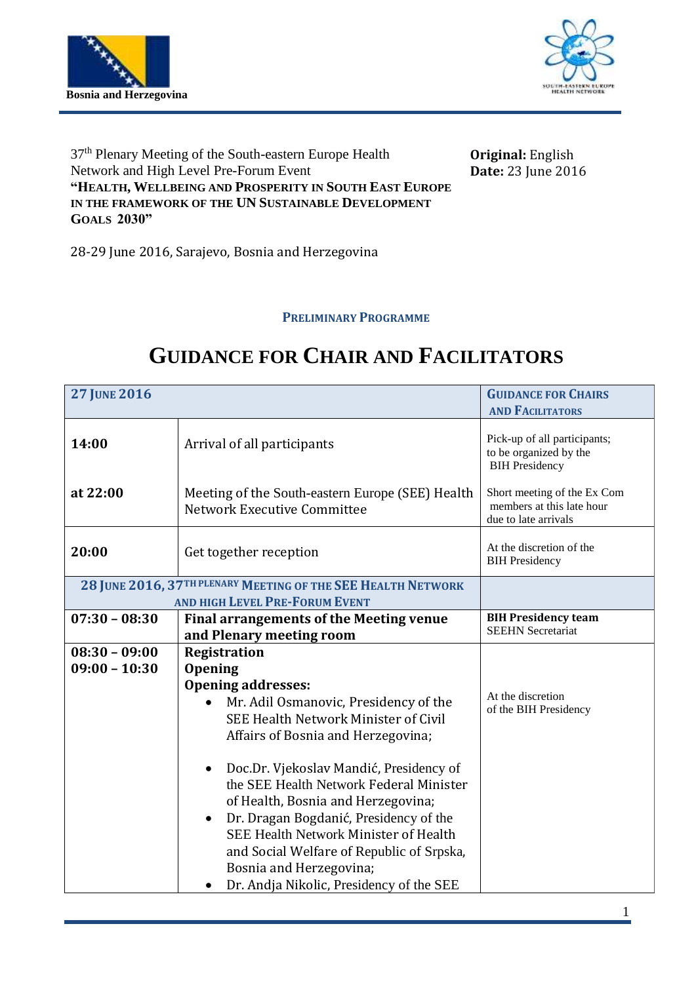



37<sup>th</sup> Plenary Meeting of the South-eastern Europe Health Network and High Level Pre-Forum Event **"HEALTH, WELLBEING AND PROSPERITY IN SOUTH EAST EUROPE IN THE FRAMEWORK OF THE UN SUSTAINABLE DEVELOPMENT GOALS 2030"**

**Original:** English **Date:** 23 June 2016

28-29 June 2016, Sarajevo, Bosnia and Herzegovina

**PRELIMINARY PROGRAMME**

## **27 JUNE 2016 GUIDANCE FOR CHAIRS AND FACILITATORS 14:00 at 22:00** Arrival of all participants Meeting of the South-eastern Europe (SEE) Health Network Executive Committee Pick-up of all participants; to be organized by the BIH Presidency Short meeting of the Ex Com members at this late hour due to late arrivals **20:00** Get together reception At the discretion of the BIH Presidency **28 JUNE 2016, 37TH PLENARY MEETING OF THE SEE HEALTH NETWORK AND HIGH LEVEL PRE-FORUM EVENT 07:30 – 08:30 Final arrangements of the Meeting venue and Plenary meeting room BIH Presidency team** SEEHN Secretariat **08:30 – 09:00 09:00 – 10:30 Registration Opening Opening addresses:** Mr. Adil Osmanovic, Presidency of the SEE Health Network Minister of Civil Affairs of Bosnia and Herzegovina; Doc.Dr. Vjekoslav Mandić, Presidency of the SEE Health Network Federal Minister of Health, Bosnia and Herzegovina; Dr. Dragan Bogdanić, Presidency of the SEE Health Network Minister of Health and Social Welfare of Republic of Srpska, Bosnia and Herzegovina; Dr. Andja Nikolic, Presidency of the SEE At the discretion of the BIH Presidency

## **GUIDANCE FOR CHAIR AND FACILITATORS**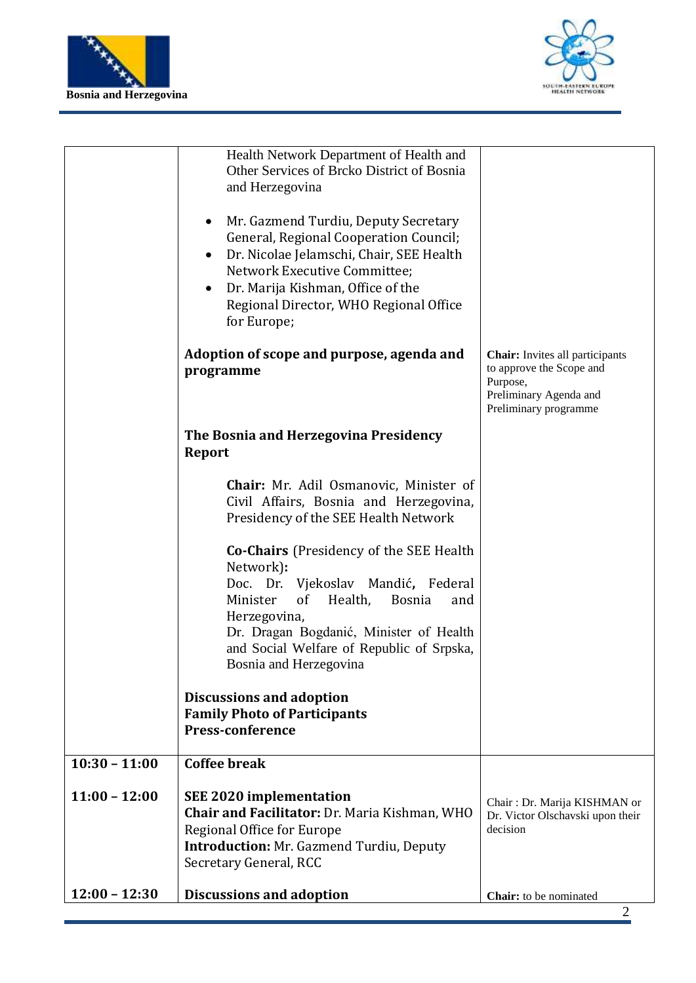



|                 | Health Network Department of Health and<br>Other Services of Brcko District of Bosnia<br>and Herzegovina<br>Mr. Gazmend Turdiu, Deputy Secretary<br>General, Regional Cooperation Council;<br>Dr. Nicolae Jelamschi, Chair, SEE Health<br>$\bullet$<br>Network Executive Committee;<br>Dr. Marija Kishman, Office of the<br>Regional Director, WHO Regional Office<br>for Europe; |                                                                                                                                   |
|-----------------|-----------------------------------------------------------------------------------------------------------------------------------------------------------------------------------------------------------------------------------------------------------------------------------------------------------------------------------------------------------------------------------|-----------------------------------------------------------------------------------------------------------------------------------|
|                 | Adoption of scope and purpose, agenda and<br>programme                                                                                                                                                                                                                                                                                                                            | <b>Chair:</b> Invites all participants<br>to approve the Scope and<br>Purpose,<br>Preliminary Agenda and<br>Preliminary programme |
|                 | The Bosnia and Herzegovina Presidency<br><b>Report</b>                                                                                                                                                                                                                                                                                                                            |                                                                                                                                   |
|                 | <b>Chair:</b> Mr. Adil Osmanovic, Minister of<br>Civil Affairs, Bosnia and Herzegovina,<br>Presidency of the SEE Health Network                                                                                                                                                                                                                                                   |                                                                                                                                   |
|                 | <b>Co-Chairs</b> (Presidency of the SEE Health<br>Network):<br>Doc. Dr. Vjekoslav Mandić, Federal<br>of<br>Minister<br>Health,<br><b>Bosnia</b><br>and<br>Herzegovina,<br>Dr. Dragan Bogdanić, Minister of Health<br>and Social Welfare of Republic of Srpska,<br>Bosnia and Herzegovina                                                                                          |                                                                                                                                   |
|                 | <b>Discussions and adoption</b><br><b>Family Photo of Participants</b><br><b>Press-conference</b>                                                                                                                                                                                                                                                                                 |                                                                                                                                   |
| $10:30 - 11:00$ | <b>Coffee break</b>                                                                                                                                                                                                                                                                                                                                                               |                                                                                                                                   |
| $11:00 - 12:00$ | <b>SEE 2020 implementation</b><br>Chair and Facilitator: Dr. Maria Kishman, WHO<br>Regional Office for Europe<br><b>Introduction: Mr. Gazmend Turdiu, Deputy</b><br>Secretary General, RCC                                                                                                                                                                                        | Chair: Dr. Marija KISHMAN or<br>Dr. Victor Olschavski upon their<br>decision                                                      |
| $12:00 - 12:30$ | <b>Discussions and adoption</b>                                                                                                                                                                                                                                                                                                                                                   | Chair: to be nominated                                                                                                            |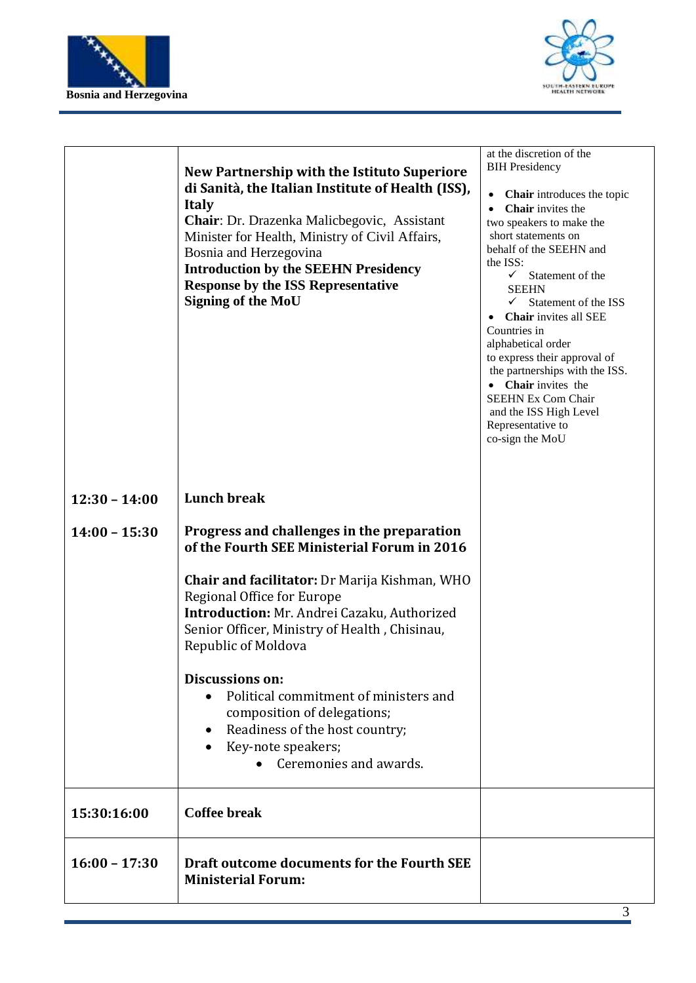



|                 | New Partnership with the Istituto Superiore<br>di Sanità, the Italian Institute of Health (ISS),<br><b>Italy</b><br>Chair: Dr. Drazenka Malicbegovic, Assistant<br>Minister for Health, Ministry of Civil Affairs,<br>Bosnia and Herzegovina<br><b>Introduction by the SEEHN Presidency</b><br><b>Response by the ISS Representative</b><br><b>Signing of the MoU</b>                                                                                                               | at the discretion of the<br><b>BIH Presidency</b><br>Chair introduces the topic<br>$\bullet$<br>Chair invites the<br>$\bullet$<br>two speakers to make the<br>short statements on<br>behalf of the SEEHN and<br>the ISS:<br>$\checkmark$<br>Statement of the<br><b>SEEHN</b><br>$\checkmark$<br>Statement of the ISS<br>Chair invites all SEE<br>Countries in<br>alphabetical order<br>to express their approval of<br>the partnerships with the ISS.<br>• Chair invites the<br><b>SEEHN Ex Com Chair</b><br>and the ISS High Level<br>Representative to<br>co-sign the MoU |
|-----------------|-------------------------------------------------------------------------------------------------------------------------------------------------------------------------------------------------------------------------------------------------------------------------------------------------------------------------------------------------------------------------------------------------------------------------------------------------------------------------------------|-----------------------------------------------------------------------------------------------------------------------------------------------------------------------------------------------------------------------------------------------------------------------------------------------------------------------------------------------------------------------------------------------------------------------------------------------------------------------------------------------------------------------------------------------------------------------------|
| $12:30 - 14:00$ | <b>Lunch break</b>                                                                                                                                                                                                                                                                                                                                                                                                                                                                  |                                                                                                                                                                                                                                                                                                                                                                                                                                                                                                                                                                             |
| $14:00 - 15:30$ | Progress and challenges in the preparation<br>of the Fourth SEE Ministerial Forum in 2016<br><b>Chair and facilitator:</b> Dr Marija Kishman, WHO<br>Regional Office for Europe<br>Introduction: Mr. Andrei Cazaku, Authorized<br>Senior Officer, Ministry of Health, Chisinau,<br>Republic of Moldova<br>Discussions on:<br>Political commitment of ministers and<br>composition of delegations;<br>Readiness of the host country;<br>Key-note speakers;<br>Ceremonies and awards. |                                                                                                                                                                                                                                                                                                                                                                                                                                                                                                                                                                             |
| 15:30:16:00     | <b>Coffee break</b>                                                                                                                                                                                                                                                                                                                                                                                                                                                                 |                                                                                                                                                                                                                                                                                                                                                                                                                                                                                                                                                                             |
| $16:00 - 17:30$ | Draft outcome documents for the Fourth SEE<br><b>Ministerial Forum:</b>                                                                                                                                                                                                                                                                                                                                                                                                             |                                                                                                                                                                                                                                                                                                                                                                                                                                                                                                                                                                             |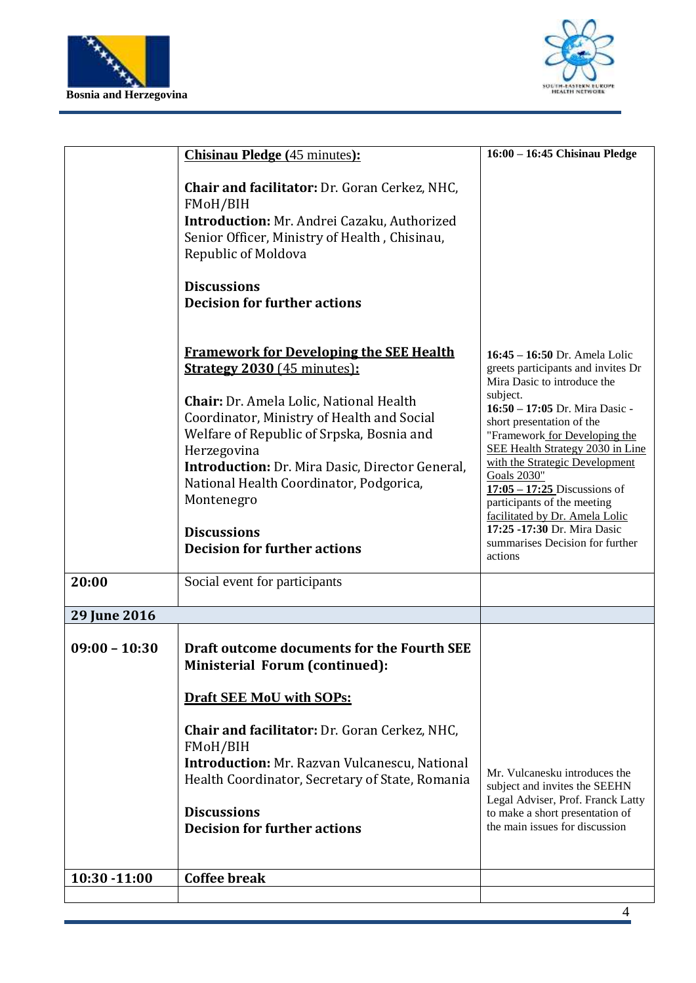



|                 | <b>Chisinau Pledge</b> (45 minutes):                                                                                                                                                                                                                                                                                                                                                                                             | 16:00 - 16:45 Chisinau Pledge                                                                                                                                                                                                                                                                                                                                                                                                                                                              |
|-----------------|----------------------------------------------------------------------------------------------------------------------------------------------------------------------------------------------------------------------------------------------------------------------------------------------------------------------------------------------------------------------------------------------------------------------------------|--------------------------------------------------------------------------------------------------------------------------------------------------------------------------------------------------------------------------------------------------------------------------------------------------------------------------------------------------------------------------------------------------------------------------------------------------------------------------------------------|
|                 |                                                                                                                                                                                                                                                                                                                                                                                                                                  |                                                                                                                                                                                                                                                                                                                                                                                                                                                                                            |
|                 | <b>Chair and facilitator:</b> Dr. Goran Cerkez, NHC,<br>FMoH/BIH<br>Introduction: Mr. Andrei Cazaku, Authorized<br>Senior Officer, Ministry of Health, Chisinau,<br>Republic of Moldova                                                                                                                                                                                                                                          |                                                                                                                                                                                                                                                                                                                                                                                                                                                                                            |
|                 | <b>Discussions</b><br><b>Decision for further actions</b>                                                                                                                                                                                                                                                                                                                                                                        |                                                                                                                                                                                                                                                                                                                                                                                                                                                                                            |
|                 | <b>Framework for Developing the SEE Health</b><br><b>Strategy 2030 (45 minutes):</b><br><b>Chair:</b> Dr. Amela Lolic, National Health<br>Coordinator, Ministry of Health and Social<br>Welfare of Republic of Srpska, Bosnia and<br>Herzegovina<br><b>Introduction:</b> Dr. Mira Dasic, Director General,<br>National Health Coordinator, Podgorica,<br>Montenegro<br><b>Discussions</b><br><b>Decision for further actions</b> | 16:45 - 16:50 Dr. Amela Lolic<br>greets participants and invites Dr<br>Mira Dasic to introduce the<br>subject.<br>16:50 - 17:05 Dr. Mira Dasic -<br>short presentation of the<br>"Framework for Developing the<br>SEE Health Strategy 2030 in Line<br>with the Strategic Development<br><b>Goals 2030"</b><br>$17:05 - 17:25$ Discussions of<br>participants of the meeting<br>facilitated by Dr. Amela Lolic<br>17:25 -17:30 Dr. Mira Dasic<br>summarises Decision for further<br>actions |
| 20:00           | Social event for participants                                                                                                                                                                                                                                                                                                                                                                                                    |                                                                                                                                                                                                                                                                                                                                                                                                                                                                                            |
| 29 June 2016    |                                                                                                                                                                                                                                                                                                                                                                                                                                  |                                                                                                                                                                                                                                                                                                                                                                                                                                                                                            |
| $09:00 - 10:30$ | Draft outcome documents for the Fourth SEE<br>Ministerial Forum (continued):<br><b>Draft SEE MoU with SOPs:</b>                                                                                                                                                                                                                                                                                                                  |                                                                                                                                                                                                                                                                                                                                                                                                                                                                                            |
|                 | <b>Chair and facilitator:</b> Dr. Goran Cerkez, NHC,<br>FMoH/BIH<br><b>Introduction:</b> Mr. Razvan Vulcanescu, National<br>Health Coordinator, Secretary of State, Romania<br><b>Discussions</b><br><b>Decision for further actions</b>                                                                                                                                                                                         | Mr. Vulcanesku introduces the<br>subject and invites the SEEHN<br>Legal Adviser, Prof. Franck Latty<br>to make a short presentation of<br>the main issues for discussion                                                                                                                                                                                                                                                                                                                   |
| 10:30 -11:00    | <b>Coffee break</b>                                                                                                                                                                                                                                                                                                                                                                                                              |                                                                                                                                                                                                                                                                                                                                                                                                                                                                                            |
|                 |                                                                                                                                                                                                                                                                                                                                                                                                                                  |                                                                                                                                                                                                                                                                                                                                                                                                                                                                                            |
|                 |                                                                                                                                                                                                                                                                                                                                                                                                                                  |                                                                                                                                                                                                                                                                                                                                                                                                                                                                                            |
|                 |                                                                                                                                                                                                                                                                                                                                                                                                                                  |                                                                                                                                                                                                                                                                                                                                                                                                                                                                                            |